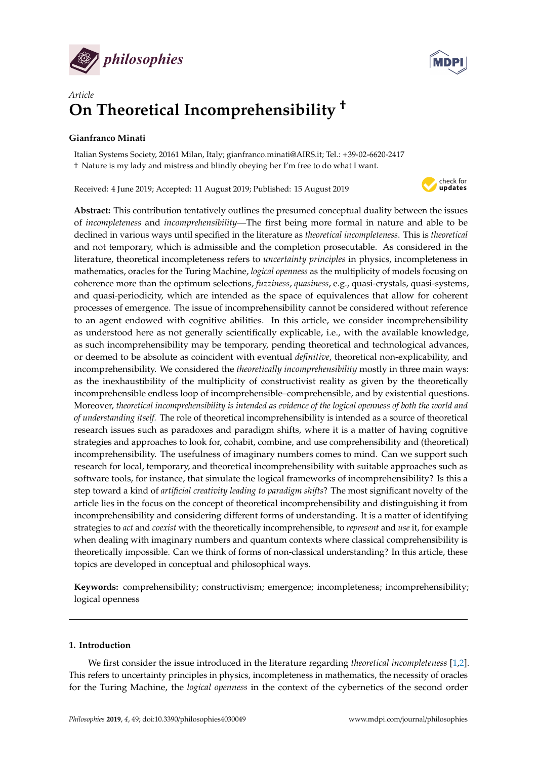



# *Article* **On Theoretical Incomprehensibility** †

# **Gianfranco Minati**

Italian Systems Society, 20161 Milan, Italy; gianfranco.minati@AIRS.it; Tel.: +39-02-6620-2417 † Nature is my lady and mistress and blindly obeying her I'm free to do what I want.

Received: 4 June 2019; Accepted: 11 August 2019; Published: 15 August 2019



**Abstract:** This contribution tentatively outlines the presumed conceptual duality between the issues of *incompleteness* and *incomprehensibility*—The first being more formal in nature and able to be declined in various ways until specified in the literature as *theoretical incompleteness*. This is *theoretical* and not temporary, which is admissible and the completion prosecutable. As considered in the literature, theoretical incompleteness refers to *uncertainty principles* in physics, incompleteness in mathematics, oracles for the Turing Machine, *logical openness* as the multiplicity of models focusing on coherence more than the optimum selections, *fuzziness*, *quasiness*, e.g., quasi-crystals, quasi-systems, and quasi-periodicity, which are intended as the space of equivalences that allow for coherent processes of emergence. The issue of incomprehensibility cannot be considered without reference to an agent endowed with cognitive abilities. In this article, we consider incomprehensibility as understood here as not generally scientifically explicable, i.e., with the available knowledge, as such incomprehensibility may be temporary, pending theoretical and technological advances, or deemed to be absolute as coincident with eventual *definitive*, theoretical non-explicability, and incomprehensibility. We considered the *theoretically incomprehensibility* mostly in three main ways: as the inexhaustibility of the multiplicity of constructivist reality as given by the theoretically incomprehensible endless loop of incomprehensible–comprehensible, and by existential questions. Moreover, *theoretical incomprehensibility is intended as evidence of the logical openness of both the world and of understanding itself.* The role of theoretical incomprehensibility is intended as a source of theoretical research issues such as paradoxes and paradigm shifts, where it is a matter of having cognitive strategies and approaches to look for, cohabit, combine, and use comprehensibility and (theoretical) incomprehensibility. The usefulness of imaginary numbers comes to mind. Can we support such research for local, temporary, and theoretical incomprehensibility with suitable approaches such as software tools, for instance, that simulate the logical frameworks of incomprehensibility? Is this a step toward a kind of *artificial creativity leading to paradigm shifts*? The most significant novelty of the article lies in the focus on the concept of theoretical incomprehensibility and distinguishing it from incomprehensibility and considering different forms of understanding. It is a matter of identifying strategies to *act* and *coexist* with the theoretically incomprehensible, to *represent* and *use* it, for example when dealing with imaginary numbers and quantum contexts where classical comprehensibility is theoretically impossible. Can we think of forms of non-classical understanding? In this article, these topics are developed in conceptual and philosophical ways.

**Keywords:** comprehensibility; constructivism; emergence; incompleteness; incomprehensibility; logical openness

## **1. Introduction**

We first consider the issue introduced in the literature regarding *theoretical incompleteness* [\[1,](#page-15-0)[2\]](#page-15-1). This refers to uncertainty principles in physics, incompleteness in mathematics, the necessity of oracles for the Turing Machine, the *logical openness* in the context of the cybernetics of the second order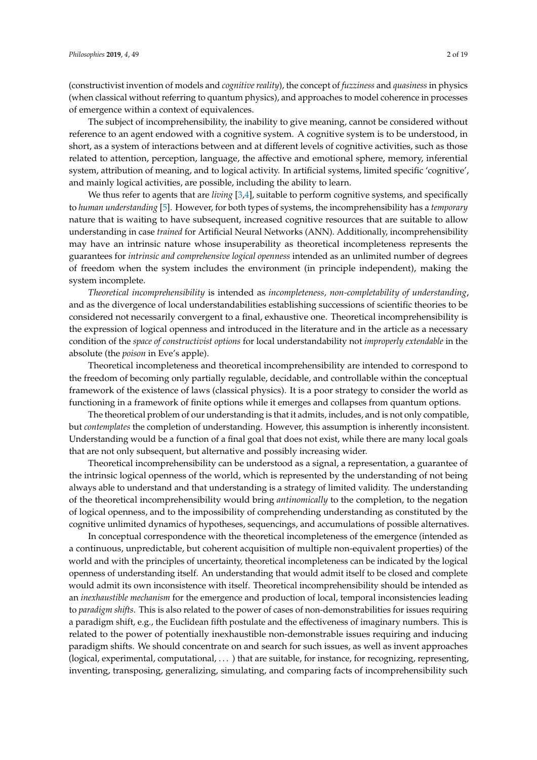(constructivist invention of models and *cognitive reality*), the concept of *fuzziness* and *quasiness* in physics (when classical without referring to quantum physics), and approaches to model coherence in processes of emergence within a context of equivalences.

The subject of incomprehensibility, the inability to give meaning, cannot be considered without reference to an agent endowed with a cognitive system. A cognitive system is to be understood, in short, as a system of interactions between and at different levels of cognitive activities, such as those related to attention, perception, language, the affective and emotional sphere, memory, inferential system, attribution of meaning, and to logical activity. In artificial systems, limited specific 'cognitive', and mainly logical activities, are possible, including the ability to learn.

We thus refer to agents that are *living* [\[3](#page-15-2)[,4\]](#page-15-3), suitable to perform cognitive systems, and specifically to *human understanding* [\[5\]](#page-15-4). However, for both types of systems, the incomprehensibility has a *temporary* nature that is waiting to have subsequent, increased cognitive resources that are suitable to allow understanding in case *trained* for Artificial Neural Networks (ANN). Additionally, incomprehensibility may have an intrinsic nature whose insuperability as theoretical incompleteness represents the guarantees for *intrinsic and comprehensive logical openness* intended as an unlimited number of degrees of freedom when the system includes the environment (in principle independent), making the system incomplete.

*Theoretical incomprehensibility* is intended as *incompleteness, non-completability of understanding*, and as the divergence of local understandabilities establishing successions of scientific theories to be considered not necessarily convergent to a final, exhaustive one. Theoretical incomprehensibility is the expression of logical openness and introduced in the literature and in the article as a necessary condition of the *space of constructivist options* for local understandability not *improperly extendable* in the absolute (the *poison* in Eve's apple).

Theoretical incompleteness and theoretical incomprehensibility are intended to correspond to the freedom of becoming only partially regulable, decidable, and controllable within the conceptual framework of the existence of laws (classical physics). It is a poor strategy to consider the world as functioning in a framework of finite options while it emerges and collapses from quantum options.

The theoretical problem of our understanding is that it admits, includes, and is not only compatible, but *contemplates* the completion of understanding. However, this assumption is inherently inconsistent. Understanding would be a function of a final goal that does not exist, while there are many local goals that are not only subsequent, but alternative and possibly increasing wider.

Theoretical incomprehensibility can be understood as a signal, a representation, a guarantee of the intrinsic logical openness of the world, which is represented by the understanding of not being always able to understand and that understanding is a strategy of limited validity. The understanding of the theoretical incomprehensibility would bring *antinomically* to the completion, to the negation of logical openness, and to the impossibility of comprehending understanding as constituted by the cognitive unlimited dynamics of hypotheses, sequencings, and accumulations of possible alternatives.

In conceptual correspondence with the theoretical incompleteness of the emergence (intended as a continuous, unpredictable, but coherent acquisition of multiple non-equivalent properties) of the world and with the principles of uncertainty, theoretical incompleteness can be indicated by the logical openness of understanding itself. An understanding that would admit itself to be closed and complete would admit its own inconsistence with itself. Theoretical incomprehensibility should be intended as an *inexhaustible mechanism* for the emergence and production of local, temporal inconsistencies leading to *paradigm shifts*. This is also related to the power of cases of non-demonstrabilities for issues requiring a paradigm shift, e.g., the Euclidean fifth postulate and the effectiveness of imaginary numbers. This is related to the power of potentially inexhaustible non-demonstrable issues requiring and inducing paradigm shifts. We should concentrate on and search for such issues, as well as invent approaches (logical, experimental, computational, . . . ) that are suitable, for instance, for recognizing, representing, inventing, transposing, generalizing, simulating, and comparing facts of incomprehensibility such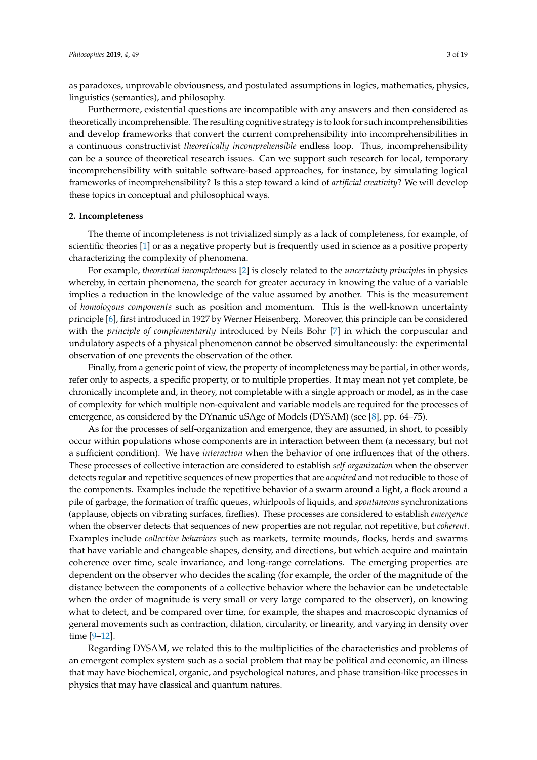as paradoxes, unprovable obviousness, and postulated assumptions in logics, mathematics, physics, linguistics (semantics), and philosophy.

Furthermore, existential questions are incompatible with any answers and then considered as theoretically incomprehensible. The resulting cognitive strategy is to look for such incomprehensibilities and develop frameworks that convert the current comprehensibility into incomprehensibilities in a continuous constructivist *theoretically incomprehensible* endless loop. Thus, incomprehensibility can be a source of theoretical research issues. Can we support such research for local, temporary incomprehensibility with suitable software-based approaches, for instance, by simulating logical frameworks of incomprehensibility? Is this a step toward a kind of *artificial creativity*? We will develop these topics in conceptual and philosophical ways.

#### **2. Incompleteness**

The theme of incompleteness is not trivialized simply as a lack of completeness, for example, of scientific theories [\[1\]](#page-15-0) or as a negative property but is frequently used in science as a positive property characterizing the complexity of phenomena.

For example, *theoretical incompleteness* [\[2\]](#page-15-1) is closely related to the *uncertainty principles* in physics whereby, in certain phenomena, the search for greater accuracy in knowing the value of a variable implies a reduction in the knowledge of the value assumed by another. This is the measurement of *homologous components* such as position and momentum. This is the well-known uncertainty principle [\[6\]](#page-15-5), first introduced in 1927 by Werner Heisenberg. Moreover, this principle can be considered with the *principle of complementarity* introduced by Neils Bohr [\[7\]](#page-15-6) in which the corpuscular and undulatory aspects of a physical phenomenon cannot be observed simultaneously: the experimental observation of one prevents the observation of the other.

Finally, from a generic point of view, the property of incompleteness may be partial, in other words, refer only to aspects, a specific property, or to multiple properties. It may mean not yet complete, be chronically incomplete and, in theory, not completable with a single approach or model, as in the case of complexity for which multiple non-equivalent and variable models are required for the processes of emergence, as considered by the DYnamic uSAge of Models (DYSAM) (see [\[8\]](#page-15-7), pp. 64–75).

As for the processes of self-organization and emergence, they are assumed, in short, to possibly occur within populations whose components are in interaction between them (a necessary, but not a sufficient condition). We have *interaction* when the behavior of one influences that of the others. These processes of collective interaction are considered to establish *self-organization* when the observer detects regular and repetitive sequences of new properties that are *acquired* and not reducible to those of the components. Examples include the repetitive behavior of a swarm around a light, a flock around a pile of garbage, the formation of traffic queues, whirlpools of liquids, and *spontaneous* synchronizations (applause, objects on vibrating surfaces, fireflies). These processes are considered to establish *emergence* when the observer detects that sequences of new properties are not regular, not repetitive, but *coherent*. Examples include *collective behaviors* such as markets, termite mounds, flocks, herds and swarms that have variable and changeable shapes, density, and directions, but which acquire and maintain coherence over time, scale invariance, and long-range correlations. The emerging properties are dependent on the observer who decides the scaling (for example, the order of the magnitude of the distance between the components of a collective behavior where the behavior can be undetectable when the order of magnitude is very small or very large compared to the observer), on knowing what to detect, and be compared over time, for example, the shapes and macroscopic dynamics of general movements such as contraction, dilation, circularity, or linearity, and varying in density over time [\[9](#page-15-8)[–12\]](#page-15-9).

Regarding DYSAM, we related this to the multiplicities of the characteristics and problems of an emergent complex system such as a social problem that may be political and economic, an illness that may have biochemical, organic, and psychological natures, and phase transition-like processes in physics that may have classical and quantum natures.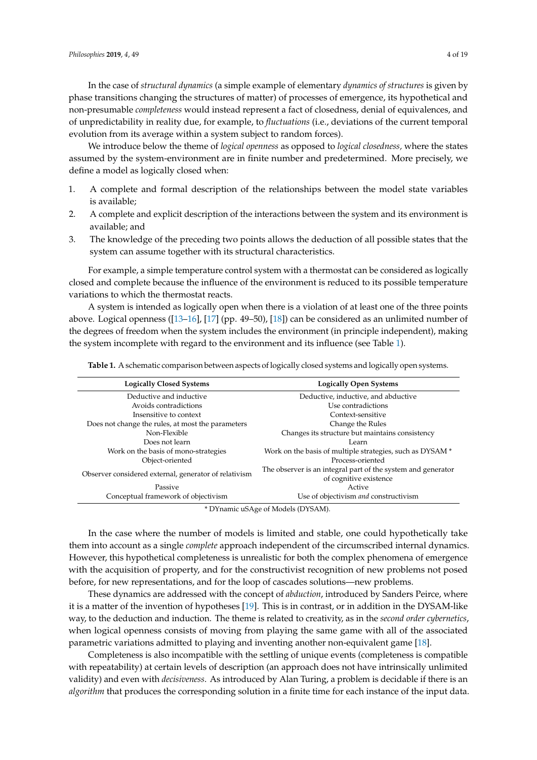In the case of *structural dynamics* (a simple example of elementary *dynamics of structures* is given by phase transitions changing the structures of matter) of processes of emergence, its hypothetical and non-presumable *completeness* would instead represent a fact of closedness, denial of equivalences, and of unpredictability in reality due, for example, to *fluctuations* (i.e., deviations of the current temporal evolution from its average within a system subject to random forces).

We introduce below the theme of *logical openness* as opposed to *logical closedness,* where the states assumed by the system-environment are in finite number and predetermined. More precisely, we define a model as logically closed when:

- 1. A complete and formal description of the relationships between the model state variables is available;
- 2. A complete and explicit description of the interactions between the system and its environment is available; and
- 3. The knowledge of the preceding two points allows the deduction of all possible states that the system can assume together with its structural characteristics.

For example, a simple temperature control system with a thermostat can be considered as logically closed and complete because the influence of the environment is reduced to its possible temperature variations to which the thermostat reacts.

A system is intended as logically open when there is a violation of at least one of the three points above. Logical openness ([\[13](#page-15-10)[–16\]](#page-15-11), [\[17\]](#page-15-12) (pp. 49–50), [\[18\]](#page-15-13)) can be considered as an unlimited number of the degrees of freedom when the system includes the environment (in principle independent), making the system incomplete with regard to the environment and its influence (see Table [1\)](#page-3-0).

<span id="page-3-0"></span>**Table 1.** A schematic comparison between aspects of logically closed systems and logically open systems.

| <b>Logically Closed Systems</b>                       | <b>Logically Open Systems</b>                                                          |
|-------------------------------------------------------|----------------------------------------------------------------------------------------|
| Deductive and inductive                               | Deductive, inductive, and abductive                                                    |
| Avoids contradictions                                 | Use contradictions                                                                     |
| Insensitive to context                                | Context-sensitive                                                                      |
| Does not change the rules, at most the parameters     | Change the Rules                                                                       |
| Non-Flexible                                          | Changes its structure but maintains consistency                                        |
| Does not learn                                        | Learn                                                                                  |
| Work on the basis of mono-strategies                  | Work on the basis of multiple strategies, such as DYSAM *                              |
| Object-oriented                                       | Process-oriented                                                                       |
| Observer considered external, generator of relativism | The observer is an integral part of the system and generator<br>of cognitive existence |
| Passive                                               | Active                                                                                 |
| Conceptual framework of objectivism                   | Use of objectivism and constructivism                                                  |

\* DYnamic uSAge of Models (DYSAM).

In the case where the number of models is limited and stable, one could hypothetically take them into account as a single *complete* approach independent of the circumscribed internal dynamics. However, this hypothetical completeness is unrealistic for both the complex phenomena of emergence with the acquisition of property, and for the constructivist recognition of new problems not posed before, for new representations, and for the loop of cascades solutions—new problems.

These dynamics are addressed with the concept of *abduction*, introduced by Sanders Peirce, where it is a matter of the invention of hypotheses [\[19\]](#page-15-14). This is in contrast, or in addition in the DYSAM-like way, to the deduction and induction. The theme is related to creativity, as in the *second order cybernetics*, when logical openness consists of moving from playing the same game with all of the associated parametric variations admitted to playing and inventing another non-equivalent game [\[18\]](#page-15-13).

Completeness is also incompatible with the settling of unique events (completeness is compatible with repeatability) at certain levels of description (an approach does not have intrinsically unlimited validity) and even with *decisiveness*. As introduced by Alan Turing, a problem is decidable if there is an *algorithm* that produces the corresponding solution in a finite time for each instance of the input data.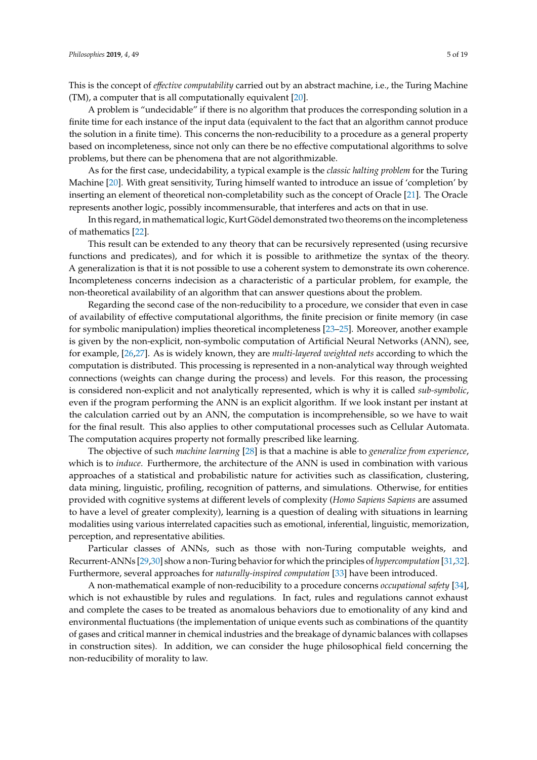This is the concept of *e*ff*ective computability* carried out by an abstract machine, i.e., the Turing Machine (TM), a computer that is all computationally equivalent [\[20\]](#page-15-15).

A problem is "undecidable" if there is no algorithm that produces the corresponding solution in a finite time for each instance of the input data (equivalent to the fact that an algorithm cannot produce the solution in a finite time). This concerns the non-reducibility to a procedure as a general property based on incompleteness, since not only can there be no effective computational algorithms to solve problems, but there can be phenomena that are not algorithmizable.

As for the first case, undecidability, a typical example is the *classic halting problem* for the Turing Machine [\[20\]](#page-15-15). With great sensitivity, Turing himself wanted to introduce an issue of 'completion' by inserting an element of theoretical non-completability such as the concept of Oracle [\[21\]](#page-15-16). The Oracle represents another logic, possibly incommensurable, that interferes and acts on that in use.

In this regard, in mathematical logic, Kurt Gödel demonstrated two theorems on the incompleteness of mathematics [\[22\]](#page-15-17).

This result can be extended to any theory that can be recursively represented (using recursive functions and predicates), and for which it is possible to arithmetize the syntax of the theory. A generalization is that it is not possible to use a coherent system to demonstrate its own coherence. Incompleteness concerns indecision as a characteristic of a particular problem, for example, the non-theoretical availability of an algorithm that can answer questions about the problem.

Regarding the second case of the non-reducibility to a procedure, we consider that even in case of availability of effective computational algorithms, the finite precision or finite memory (in case for symbolic manipulation) implies theoretical incompleteness [\[23](#page-15-18)[–25\]](#page-15-19). Moreover, another example is given by the non-explicit, non-symbolic computation of Artificial Neural Networks (ANN), see, for example, [\[26](#page-16-0)[,27\]](#page-16-1). As is widely known, they are *multi-layered weighted nets* according to which the computation is distributed. This processing is represented in a non-analytical way through weighted connections (weights can change during the process) and levels. For this reason, the processing is considered non-explicit and not analytically represented, which is why it is called *sub-symbolic*, even if the program performing the ANN is an explicit algorithm. If we look instant per instant at the calculation carried out by an ANN, the computation is incomprehensible, so we have to wait for the final result. This also applies to other computational processes such as Cellular Automata. The computation acquires property not formally prescribed like learning.

The objective of such *machine learning* [\[28\]](#page-16-2) is that a machine is able to *generalize from experience*, which is to *induce*. Furthermore, the architecture of the ANN is used in combination with various approaches of a statistical and probabilistic nature for activities such as classification, clustering, data mining, linguistic, profiling, recognition of patterns, and simulations. Otherwise, for entities provided with cognitive systems at different levels of complexity (*Homo Sapiens Sapiens* are assumed to have a level of greater complexity), learning is a question of dealing with situations in learning modalities using various interrelated capacities such as emotional, inferential, linguistic, memorization, perception, and representative abilities.

Particular classes of ANNs, such as those with non-Turing computable weights, and Recurrent-ANNs [\[29,](#page-16-3)[30\]](#page-16-4) show a non-Turing behavior for which the principles of *hypercomputation* [\[31](#page-16-5)[,32\]](#page-16-6). Furthermore, several approaches for *naturally-inspired computation* [\[33\]](#page-16-7) have been introduced.

A non-mathematical example of non-reducibility to a procedure concerns *occupational safety* [\[34\]](#page-16-8), which is not exhaustible by rules and regulations. In fact, rules and regulations cannot exhaust and complete the cases to be treated as anomalous behaviors due to emotionality of any kind and environmental fluctuations (the implementation of unique events such as combinations of the quantity of gases and critical manner in chemical industries and the breakage of dynamic balances with collapses in construction sites). In addition, we can consider the huge philosophical field concerning the non-reducibility of morality to law.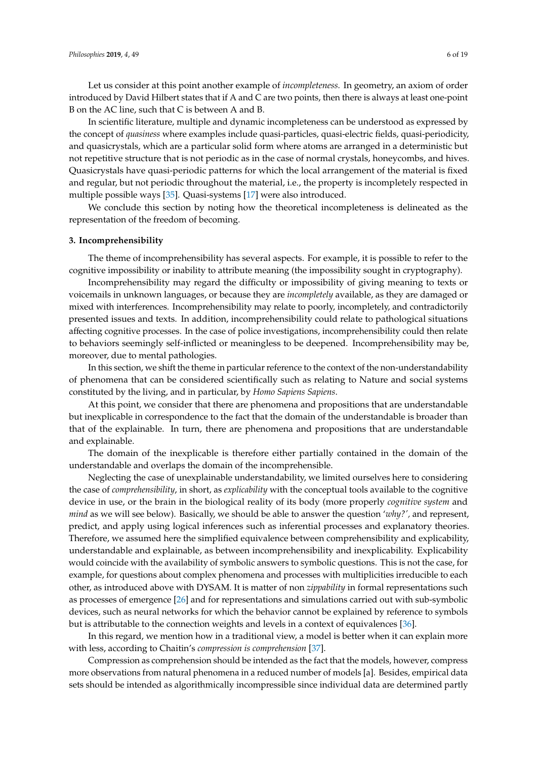Let us consider at this point another example of *incompleteness.* In geometry, an axiom of order introduced by David Hilbert states that if A and C are two points, then there is always at least one-point B on the AC line, such that C is between A and B.

In scientific literature, multiple and dynamic incompleteness can be understood as expressed by the concept of *quasiness* where examples include quasi-particles, quasi-electric fields, quasi-periodicity, and quasicrystals, which are a particular solid form where atoms are arranged in a deterministic but not repetitive structure that is not periodic as in the case of normal crystals, honeycombs, and hives. Quasicrystals have quasi-periodic patterns for which the local arrangement of the material is fixed and regular, but not periodic throughout the material, i.e., the property is incompletely respected in multiple possible ways [\[35\]](#page-16-9). Quasi-systems [\[17\]](#page-15-12) were also introduced.

We conclude this section by noting how the theoretical incompleteness is delineated as the representation of the freedom of becoming.

#### <span id="page-5-0"></span>**3. Incomprehensibility**

The theme of incomprehensibility has several aspects. For example, it is possible to refer to the cognitive impossibility or inability to attribute meaning (the impossibility sought in cryptography).

Incomprehensibility may regard the difficulty or impossibility of giving meaning to texts or voicemails in unknown languages, or because they are *incompletely* available, as they are damaged or mixed with interferences. Incomprehensibility may relate to poorly, incompletely, and contradictorily presented issues and texts. In addition, incomprehensibility could relate to pathological situations affecting cognitive processes. In the case of police investigations, incomprehensibility could then relate to behaviors seemingly self-inflicted or meaningless to be deepened. Incomprehensibility may be, moreover, due to mental pathologies.

In this section, we shift the theme in particular reference to the context of the non-understandability of phenomena that can be considered scientifically such as relating to Nature and social systems constituted by the living, and in particular, by *Homo Sapiens Sapiens*.

At this point, we consider that there are phenomena and propositions that are understandable but inexplicable in correspondence to the fact that the domain of the understandable is broader than that of the explainable. In turn, there are phenomena and propositions that are understandable and explainable.

The domain of the inexplicable is therefore either partially contained in the domain of the understandable and overlaps the domain of the incomprehensible.

Neglecting the case of unexplainable understandability, we limited ourselves here to considering the case of *comprehensibility*, in short, as *explicability* with the conceptual tools available to the cognitive device in use, or the brain in the biological reality of its body (more properly *cognitive system* and *mind* as we will see below). Basically, we should be able to answer the question '*why?',* and represent, predict, and apply using logical inferences such as inferential processes and explanatory theories. Therefore, we assumed here the simplified equivalence between comprehensibility and explicability, understandable and explainable, as between incomprehensibility and inexplicability. Explicability would coincide with the availability of symbolic answers to symbolic questions. This is not the case, for example, for questions about complex phenomena and processes with multiplicities irreducible to each other, as introduced above with DYSAM. It is matter of non *zippability* in formal representations such as processes of emergence [\[26\]](#page-16-0) and for representations and simulations carried out with sub-symbolic devices, such as neural networks for which the behavior cannot be explained by reference to symbols but is attributable to the connection weights and levels in a context of equivalences [\[36\]](#page-16-10).

In this regard, we mention how in a traditional view, a model is better when it can explain more with less, according to Chaitin's *compression is comprehension* [\[37\]](#page-16-11).

Compression as comprehension should be intended as the fact that the models, however, compress more observations from natural phenomena in a reduced number of models [a]. Besides, empirical data sets should be intended as algorithmically incompressible since individual data are determined partly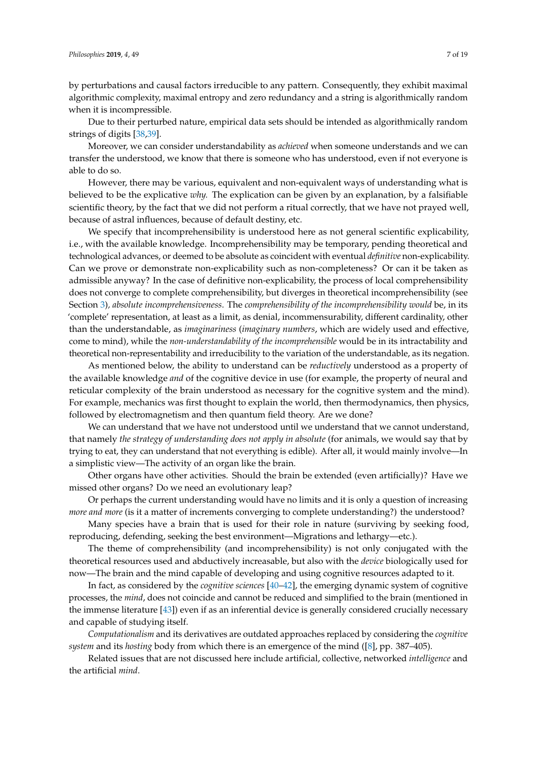by perturbations and causal factors irreducible to any pattern. Consequently, they exhibit maximal algorithmic complexity, maximal entropy and zero redundancy and a string is algorithmically random when it is incompressible.

Due to their perturbed nature, empirical data sets should be intended as algorithmically random strings of digits [\[38](#page-16-12)[,39\]](#page-16-13).

Moreover, we can consider understandability as *achieved* when someone understands and we can transfer the understood, we know that there is someone who has understood, even if not everyone is able to do so.

However, there may be various, equivalent and non-equivalent ways of understanding what is believed to be the explicative *why.* The explication can be given by an explanation, by a falsifiable scientific theory, by the fact that we did not perform a ritual correctly, that we have not prayed well, because of astral influences, because of default destiny, etc.

We specify that incomprehensibility is understood here as not general scientific explicability, i.e., with the available knowledge. Incomprehensibility may be temporary, pending theoretical and technological advances, or deemed to be absolute as coincident with eventual *definitive* non-explicability. Can we prove or demonstrate non-explicability such as non-completeness? Or can it be taken as admissible anyway? In the case of definitive non-explicability, the process of local comprehensibility does not converge to complete comprehensibility, but diverges in theoretical incomprehensibility (see Section [3\)](#page-5-0)*, absolute incomprehensiveness*. The *comprehensibility of the incomprehensibility would* be, in its 'complete' representation, at least as a limit, as denial, incommensurability, different cardinality, other than the understandable, as *imaginariness* (*imaginary numbers*, which are widely used and effective, come to mind), while the *non-understandability of the incomprehensible* would be in its intractability and theoretical non-representability and irreducibility to the variation of the understandable, as its negation.

As mentioned below, the ability to understand can be *reductively* understood as a property of the available knowledge *and* of the cognitive device in use (for example, the property of neural and reticular complexity of the brain understood as necessary for the cognitive system and the mind). For example, mechanics was first thought to explain the world, then thermodynamics, then physics, followed by electromagnetism and then quantum field theory. Are we done?

We can understand that we have not understood until we understand that we cannot understand, that namely *the strategy of understanding does not apply in absolute* (for animals, we would say that by trying to eat, they can understand that not everything is edible). After all, it would mainly involve—In a simplistic view—The activity of an organ like the brain.

Other organs have other activities. Should the brain be extended (even artificially)? Have we missed other organs? Do we need an evolutionary leap?

Or perhaps the current understanding would have no limits and it is only a question of increasing *more and more* (is it a matter of increments converging to complete understanding?) the understood?

Many species have a brain that is used for their role in nature (surviving by seeking food, reproducing, defending, seeking the best environment—Migrations and lethargy—etc.).

The theme of comprehensibility (and incomprehensibility) is not only conjugated with the theoretical resources used and abductively increasable, but also with the *device* biologically used for now—The brain and the mind capable of developing and using cognitive resources adapted to it.

In fact, as considered by the *cognitive sciences* [\[40](#page-16-14)[–42\]](#page-16-15), the emerging dynamic system of cognitive processes, the *mind*, does not coincide and cannot be reduced and simplified to the brain (mentioned in the immense literature [\[43\]](#page-16-16)) even if as an inferential device is generally considered crucially necessary and capable of studying itself.

*Computationalism* and its derivatives are outdated approaches replaced by considering the *cognitive system* and its *hosting* body from which there is an emergence of the mind ([\[8\]](#page-15-7), pp. 387–405).

Related issues that are not discussed here include artificial, collective, networked *intelligence* and the artificial *mind*.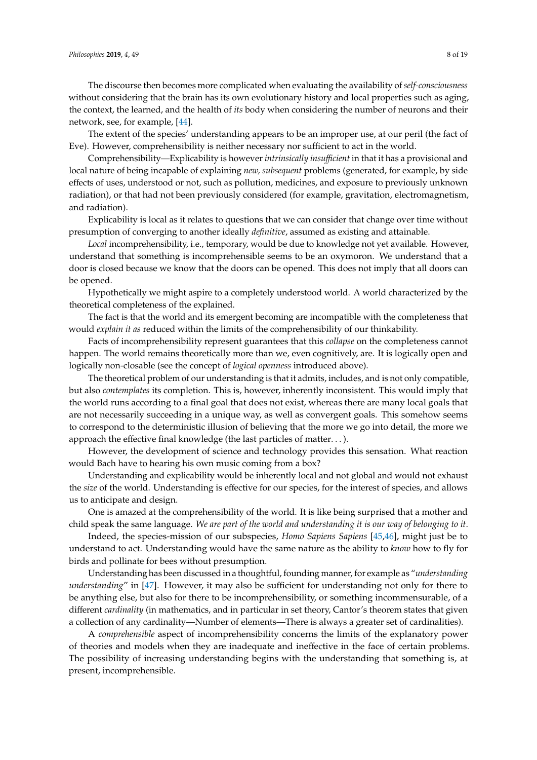The discourse then becomes more complicated when evaluating the availability of*self-consciousness* without considering that the brain has its own evolutionary history and local properties such as aging, the context, the learned, and the health of *its* body when considering the number of neurons and their network, see, for example, [\[44\]](#page-16-17).

The extent of the species' understanding appears to be an improper use, at our peril (the fact of Eve). However, comprehensibility is neither necessary nor sufficient to act in the world.

Comprehensibility—Explicability is however *intrinsically insu*ffi*cient* in that it has a provisional and local nature of being incapable of explaining *new, subsequent* problems (generated, for example, by side effects of uses, understood or not, such as pollution, medicines, and exposure to previously unknown radiation), or that had not been previously considered (for example, gravitation, electromagnetism, and radiation).

Explicability is local as it relates to questions that we can consider that change over time without presumption of converging to another ideally *definitive*, assumed as existing and attainable.

*Local* incomprehensibility, i.e., temporary, would be due to knowledge not yet available. However, understand that something is incomprehensible seems to be an oxymoron. We understand that a door is closed because we know that the doors can be opened. This does not imply that all doors can be opened.

Hypothetically we might aspire to a completely understood world. A world characterized by the theoretical completeness of the explained.

The fact is that the world and its emergent becoming are incompatible with the completeness that would *explain it as* reduced within the limits of the comprehensibility of our thinkability.

Facts of incomprehensibility represent guarantees that this *collapse* on the completeness cannot happen. The world remains theoretically more than we, even cognitively, are. It is logically open and logically non-closable (see the concept of *logical openness* introduced above).

The theoretical problem of our understanding is that it admits, includes, and is not only compatible, but also *contemplates* its completion. This is, however, inherently inconsistent. This would imply that the world runs according to a final goal that does not exist, whereas there are many local goals that are not necessarily succeeding in a unique way, as well as convergent goals. This somehow seems to correspond to the deterministic illusion of believing that the more we go into detail, the more we approach the effective final knowledge (the last particles of matter. . . ).

However, the development of science and technology provides this sensation. What reaction would Bach have to hearing his own music coming from a box?

Understanding and explicability would be inherently local and not global and would not exhaust the *size* of the world. Understanding is effective for our species, for the interest of species, and allows us to anticipate and design.

One is amazed at the comprehensibility of the world. It is like being surprised that a mother and child speak the same language. *We are part of the world and understanding it is our way of belonging to it*.

Indeed, the species-mission of our subspecies, *Homo Sapiens Sapiens* [\[45,](#page-16-18)[46\]](#page-16-19), might just be to understand to act. Understanding would have the same nature as the ability to *know* how to fly for birds and pollinate for bees without presumption.

Understanding has been discussed in a thoughtful, founding manner, for example as "*understanding understanding*" in [\[47\]](#page-16-20). However, it may also be sufficient for understanding not only for there to be anything else, but also for there to be incomprehensibility, or something incommensurable, of a different *cardinality* (in mathematics, and in particular in set theory, Cantor's theorem states that given a collection of any cardinality—Number of elements—There is always a greater set of cardinalities).

A *comprehensible* aspect of incomprehensibility concerns the limits of the explanatory power of theories and models when they are inadequate and ineffective in the face of certain problems. The possibility of increasing understanding begins with the understanding that something is, at present, incomprehensible.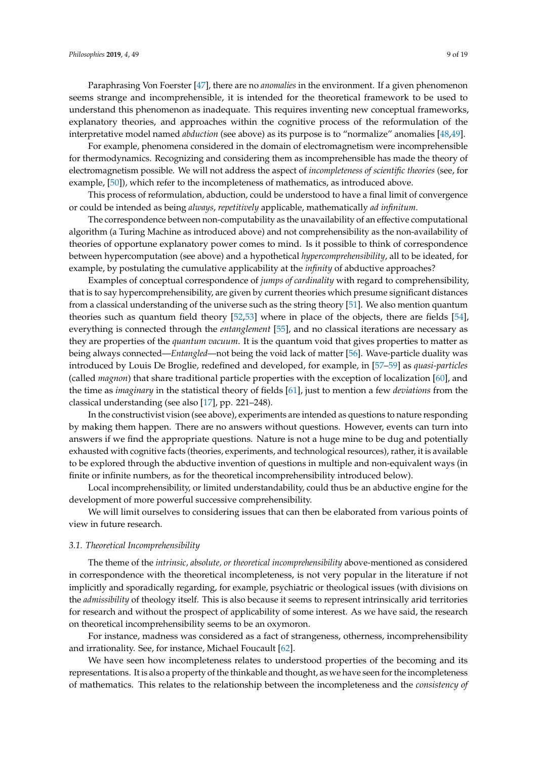Paraphrasing Von Foerster [\[47\]](#page-16-20), there are no *anomalies* in the environment. If a given phenomenon seems strange and incomprehensible, it is intended for the theoretical framework to be used to understand this phenomenon as inadequate. This requires inventing new conceptual frameworks, explanatory theories, and approaches within the cognitive process of the reformulation of the interpretative model named *abduction* (see above) as its purpose is to "normalize" anomalies [\[48](#page-16-21)[,49\]](#page-16-22).

For example, phenomena considered in the domain of electromagnetism were incomprehensible for thermodynamics. Recognizing and considering them as incomprehensible has made the theory of electromagnetism possible. We will not address the aspect of *incompleteness of scientific theories* (see, for example, [\[50\]](#page-16-23)), which refer to the incompleteness of mathematics, as introduced above.

This process of reformulation, abduction, could be understood to have a final limit of convergence or could be intended as being *always*, *repetitively* applicable, mathematically *ad infinitum*.

The correspondence between non-computability as the unavailability of an effective computational algorithm (a Turing Machine as introduced above) and not comprehensibility as the non-availability of theories of opportune explanatory power comes to mind. Is it possible to think of correspondence between hypercomputation (see above) and a hypothetical *hypercomprehensibility*, all to be ideated, for example, by postulating the cumulative applicability at the *infinity* of abductive approaches?

Examples of conceptual correspondence of *jumps of cardinality* with regard to comprehensibility, that is to say hypercomprehensibility, are given by current theories which presume significant distances from a classical understanding of the universe such as the string theory [\[51\]](#page-16-24). We also mention quantum theories such as quantum field theory [\[52](#page-16-25)[,53\]](#page-16-26) where in place of the objects, there are fields [\[54\]](#page-17-0), everything is connected through the *entanglement* [\[55\]](#page-17-1), and no classical iterations are necessary as they are properties of the *quantum vacuum*. It is the quantum void that gives properties to matter as being always connected—*Entangled*—not being the void lack of matter [\[56\]](#page-17-2). Wave-particle duality was introduced by Louis De Broglie, redefined and developed, for example, in [\[57–](#page-17-3)[59\]](#page-17-4) as *quasi-particles* (called *magnon*) that share traditional particle properties with the exception of localization [\[60\]](#page-17-5), and the time as *imaginary* in the statistical theory of fields [\[61\]](#page-17-6), just to mention a few *deviations* from the classical understanding (see also [\[17\]](#page-15-12), pp. 221–248).

In the constructivist vision (see above), experiments are intended as questions to nature responding by making them happen. There are no answers without questions. However, events can turn into answers if we find the appropriate questions. Nature is not a huge mine to be dug and potentially exhausted with cognitive facts (theories, experiments, and technological resources), rather, it is available to be explored through the abductive invention of questions in multiple and non-equivalent ways (in finite or infinite numbers, as for the theoretical incomprehensibility introduced below).

Local incomprehensibility, or limited understandability, could thus be an abductive engine for the development of more powerful successive comprehensibility.

We will limit ourselves to considering issues that can then be elaborated from various points of view in future research.

#### *3.1. Theoretical Incomprehensibility*

The theme of the *intrinsic, absolute, or theoretical incomprehensibility* above-mentioned as considered in correspondence with the theoretical incompleteness, is not very popular in the literature if not implicitly and sporadically regarding, for example, psychiatric or theological issues (with divisions on the *admissibility* of theology itself. This is also because it seems to represent intrinsically arid territories for research and without the prospect of applicability of some interest. As we have said, the research on theoretical incomprehensibility seems to be an oxymoron.

For instance, madness was considered as a fact of strangeness, otherness, incomprehensibility and irrationality. See, for instance, Michael Foucault [\[62\]](#page-17-7).

We have seen how incompleteness relates to understood properties of the becoming and its representations. It is also a property of the thinkable and thought, as we have seen for the incompleteness of mathematics. This relates to the relationship between the incompleteness and the *consistency of*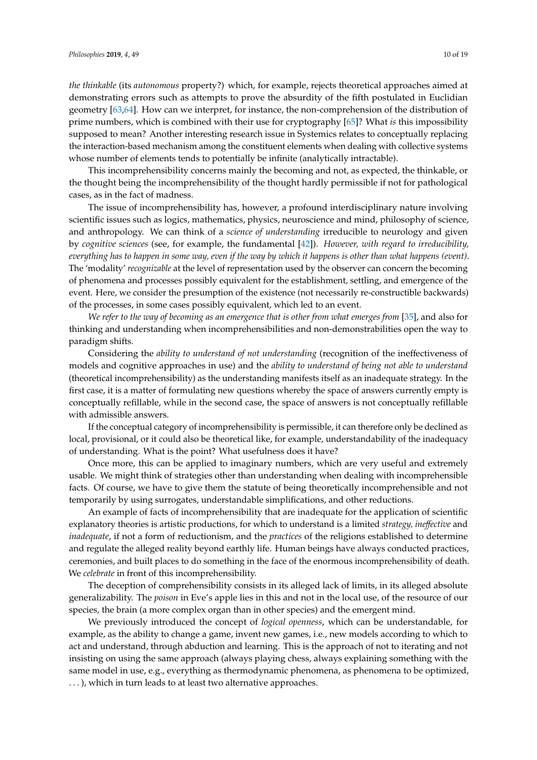*the thinkable* (its *autonomous* property?) which, for example, rejects theoretical approaches aimed at demonstrating errors such as attempts to prove the absurdity of the fifth postulated in Euclidian geometry [\[63,](#page-17-8)[64\]](#page-17-9). How can we interpret, for instance, the non-comprehension of the distribution of prime numbers, which is combined with their use for cryptography [\[65\]](#page-17-10)? What *is* this impossibility supposed to mean? Another interesting research issue in Systemics relates to conceptually replacing the interaction-based mechanism among the constituent elements when dealing with collective systems whose number of elements tends to potentially be infinite (analytically intractable).

This incomprehensibility concerns mainly the becoming and not, as expected, the thinkable, or the thought being the incomprehensibility of the thought hardly permissible if not for pathological cases, as in the fact of madness.

The issue of incomprehensibility has, however, a profound interdisciplinary nature involving scientific issues such as logics, mathematics, physics, neuroscience and mind, philosophy of science, and anthropology. We can think of a *science of understanding* irreducible to neurology and given by *cognitive sciences* (see, for example, the fundamental [\[42\]](#page-16-15)). *However, with regard to irreducibility, everything has to happen in some way, even if the way by which it happens is other than what happens (event)*. The 'modality' *recognizable* at the level of representation used by the observer can concern the becoming of phenomena and processes possibly equivalent for the establishment, settling, and emergence of the event. Here, we consider the presumption of the existence (not necessarily re-constructible backwards) of the processes, in some cases possibly equivalent, which led to an event.

*We refer to the way of becoming as an emergence that is other from what emerges from* [\[35\]](#page-16-9), and also for thinking and understanding when incomprehensibilities and non-demonstrabilities open the way to paradigm shifts.

Considering the *ability to understand of not understanding* (recognition of the ineffectiveness of models and cognitive approaches in use) and the *ability to understand of being not able to understand* (theoretical incomprehensibility) as the understanding manifests itself as an inadequate strategy. In the first case, it is a matter of formulating new questions whereby the space of answers currently empty is conceptually refillable, while in the second case, the space of answers is not conceptually refillable with admissible answers.

If the conceptual category of incomprehensibility is permissible, it can therefore only be declined as local, provisional, or it could also be theoretical like, for example, understandability of the inadequacy of understanding. What is the point? What usefulness does it have?

Once more, this can be applied to imaginary numbers, which are very useful and extremely usable. We might think of strategies other than understanding when dealing with incomprehensible facts. Of course, we have to give them the statute of being theoretically incomprehensible and not temporarily by using surrogates, understandable simplifications, and other reductions.

An example of facts of incomprehensibility that are inadequate for the application of scientific explanatory theories is artistic productions, for which to understand is a limited *strategy, ine*ff*ective* and *inadequate*, if not a form of reductionism, and the *practices* of the religions established to determine and regulate the alleged reality beyond earthly life. Human beings have always conducted practices, ceremonies, and built places to do something in the face of the enormous incomprehensibility of death. We *celebrate* in front of this incomprehensibility.

The deception of comprehensibility consists in its alleged lack of limits, in its alleged absolute generalizability. The *poison* in Eve's apple lies in this and not in the local use, of the resource of our species, the brain (a more complex organ than in other species) and the emergent mind.

We previously introduced the concept of *logical openness*, which can be understandable, for example, as the ability to change a game, invent new games, i.e., new models according to which to act and understand, through abduction and learning. This is the approach of not to iterating and not insisting on using the same approach (always playing chess, always explaining something with the same model in use, e.g., everything as thermodynamic phenomena, as phenomena to be optimized, . . . ), which in turn leads to at least two alternative approaches.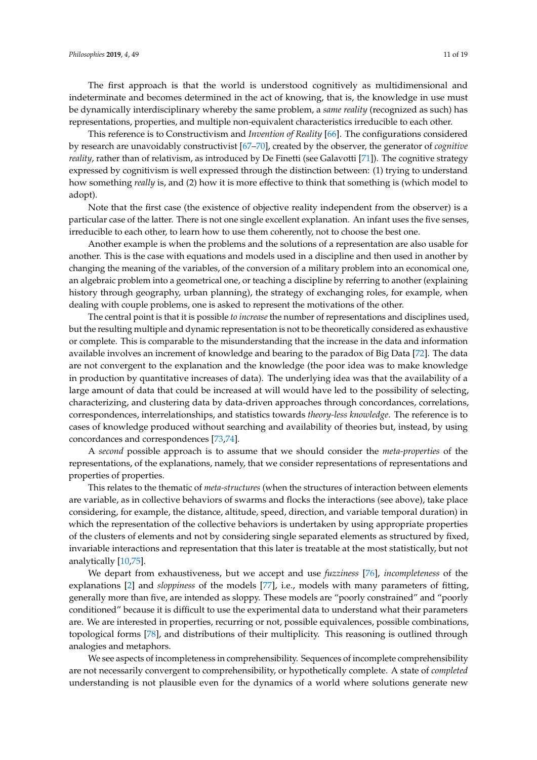This reference is to Constructivism and *Invention of Reality* [\[66\]](#page-17-11). The configurations considered by research are unavoidably constructivist [\[67](#page-17-12)[–70\]](#page-17-13), created by the observer, the generator of *cognitive reality*, rather than of relativism, as introduced by De Finetti (see Galavotti [\[71\]](#page-17-14)). The cognitive strategy expressed by cognitivism is well expressed through the distinction between: (1) trying to understand how something *really* is, and (2) how it is more effective to think that something is (which model to adopt).

Note that the first case (the existence of objective reality independent from the observer) is a particular case of the latter. There is not one single excellent explanation. An infant uses the five senses, irreducible to each other, to learn how to use them coherently, not to choose the best one.

Another example is when the problems and the solutions of a representation are also usable for another. This is the case with equations and models used in a discipline and then used in another by changing the meaning of the variables, of the conversion of a military problem into an economical one, an algebraic problem into a geometrical one, or teaching a discipline by referring to another (explaining history through geography, urban planning), the strategy of exchanging roles, for example, when dealing with couple problems, one is asked to represent the motivations of the other.

The central point is that it is possible *to increase* the number of representations and disciplines used, but the resulting multiple and dynamic representation is not to be theoretically considered as exhaustive or complete. This is comparable to the misunderstanding that the increase in the data and information available involves an increment of knowledge and bearing to the paradox of Big Data [\[72\]](#page-17-15). The data are not convergent to the explanation and the knowledge (the poor idea was to make knowledge in production by quantitative increases of data). The underlying idea was that the availability of a large amount of data that could be increased at will would have led to the possibility of selecting, characterizing, and clustering data by data-driven approaches through concordances, correlations, correspondences, interrelationships, and statistics towards *theory-less knowledge*. The reference is to cases of knowledge produced without searching and availability of theories but, instead, by using concordances and correspondences [\[73,](#page-17-16)[74\]](#page-17-17).

A *second* possible approach is to assume that we should consider the *meta-properties* of the representations, of the explanations, namely, that we consider representations of representations and properties of properties.

This relates to the thematic of *meta-structures* (when the structures of interaction between elements are variable, as in collective behaviors of swarms and flocks the interactions (see above), take place considering, for example, the distance, altitude, speed, direction, and variable temporal duration) in which the representation of the collective behaviors is undertaken by using appropriate properties of the clusters of elements and not by considering single separated elements as structured by fixed, invariable interactions and representation that this later is treatable at the most statistically, but not analytically [\[10](#page-15-20)[,75\]](#page-17-18).

We depart from exhaustiveness, but we accept and use *fuzziness* [\[76\]](#page-17-19), *incompleteness* of the explanations [\[2\]](#page-15-1) and *sloppiness* of the models [\[77\]](#page-17-20), i.e., models with many parameters of fitting, generally more than five, are intended as sloppy. These models are "poorly constrained" and "poorly conditioned" because it is difficult to use the experimental data to understand what their parameters are. We are interested in properties, recurring or not, possible equivalences, possible combinations, topological forms [\[78\]](#page-17-21), and distributions of their multiplicity. This reasoning is outlined through analogies and metaphors.

We see aspects of incompleteness in comprehensibility. Sequences of incomplete comprehensibility are not necessarily convergent to comprehensibility, or hypothetically complete. A state of *completed* understanding is not plausible even for the dynamics of a world where solutions generate new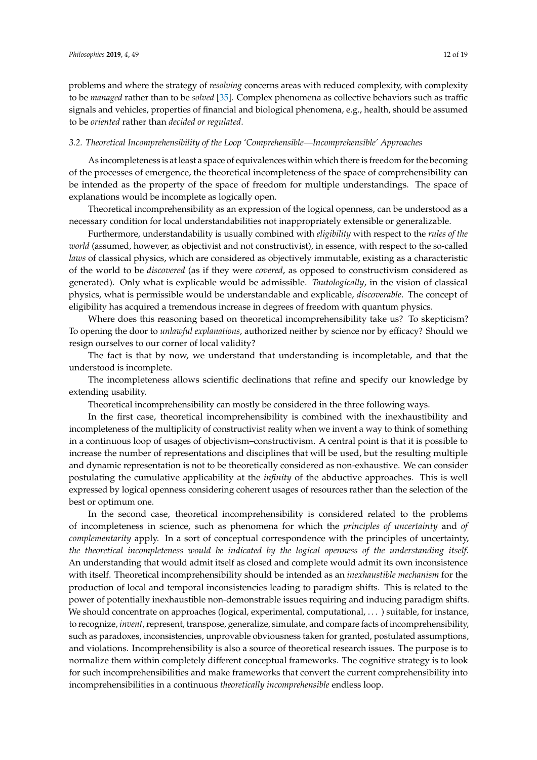problems and where the strategy of *resolving* concerns areas with reduced complexity, with complexity to be *managed* rather than to be *solved* [\[35\]](#page-16-9). Complex phenomena as collective behaviors such as traffic signals and vehicles, properties of financial and biological phenomena, e.g., health, should be assumed to be *oriented* rather than *decided or regulated*.

## *3.2. Theoretical Incomprehensibility of the Loop 'Comprehensible—Incomprehensible' Approaches*

As incompleteness is at least a space of equivalences within which there is freedom for the becoming of the processes of emergence, the theoretical incompleteness of the space of comprehensibility can be intended as the property of the space of freedom for multiple understandings. The space of explanations would be incomplete as logically open.

Theoretical incomprehensibility as an expression of the logical openness, can be understood as a necessary condition for local understandabilities not inappropriately extensible or generalizable.

Furthermore, understandability is usually combined with *eligibility* with respect to the *rules of the world* (assumed, however, as objectivist and not constructivist), in essence, with respect to the so-called *laws* of classical physics, which are considered as objectively immutable, existing as a characteristic of the world to be *discovered* (as if they were *covered*, as opposed to constructivism considered as generated). Only what is explicable would be admissible. *Tautologically*, in the vision of classical physics, what is permissible would be understandable and explicable, *discoverable*. The concept of eligibility has acquired a tremendous increase in degrees of freedom with quantum physics.

Where does this reasoning based on theoretical incomprehensibility take us? To skepticism? To opening the door to *unlawful explanations*, authorized neither by science nor by efficacy? Should we resign ourselves to our corner of local validity?

The fact is that by now, we understand that understanding is incompletable, and that the understood is incomplete.

The incompleteness allows scientific declinations that refine and specify our knowledge by extending usability.

Theoretical incomprehensibility can mostly be considered in the three following ways.

In the first case, theoretical incomprehensibility is combined with the inexhaustibility and incompleteness of the multiplicity of constructivist reality when we invent a way to think of something in a continuous loop of usages of objectivism–constructivism. A central point is that it is possible to increase the number of representations and disciplines that will be used, but the resulting multiple and dynamic representation is not to be theoretically considered as non-exhaustive. We can consider postulating the cumulative applicability at the *infinity* of the abductive approaches. This is well expressed by logical openness considering coherent usages of resources rather than the selection of the best or optimum one.

In the second case, theoretical incomprehensibility is considered related to the problems of incompleteness in science, such as phenomena for which the *principles of uncertainty* and *of complementarity* apply. In a sort of conceptual correspondence with the principles of uncertainty, *the theoretical incompleteness would be indicated by the logical openness of the understanding itself.* An understanding that would admit itself as closed and complete would admit its own inconsistence with itself. Theoretical incomprehensibility should be intended as an *inexhaustible mechanism* for the production of local and temporal inconsistencies leading to paradigm shifts. This is related to the power of potentially inexhaustible non-demonstrable issues requiring and inducing paradigm shifts. We should concentrate on approaches (logical, experimental, computational, . . . ) suitable, for instance, to recognize, *invent*, represent, transpose, generalize, simulate, and compare facts of incomprehensibility, such as paradoxes, inconsistencies, unprovable obviousness taken for granted, postulated assumptions, and violations. Incomprehensibility is also a source of theoretical research issues. The purpose is to normalize them within completely different conceptual frameworks. The cognitive strategy is to look for such incomprehensibilities and make frameworks that convert the current comprehensibility into incomprehensibilities in a continuous *theoretically incomprehensible* endless loop.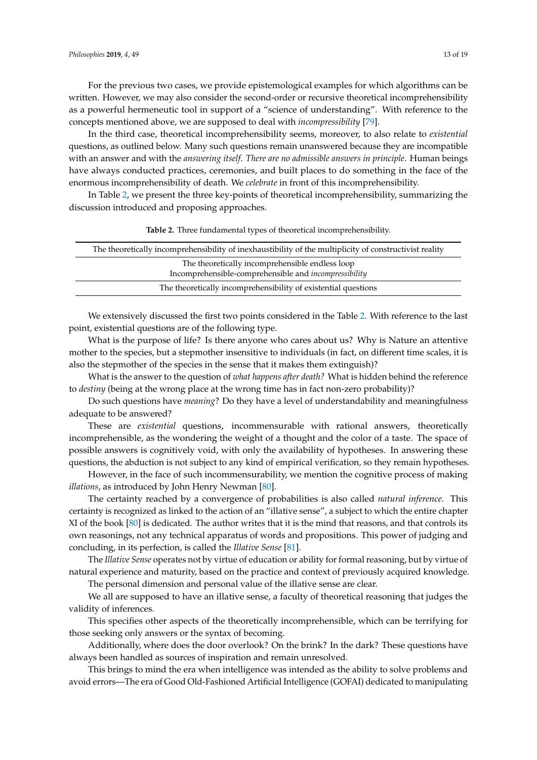For the previous two cases, we provide epistemological examples for which algorithms can be written. However, we may also consider the second-order or recursive theoretical incomprehensibility as a powerful hermeneutic tool in support of a "science of understanding". With reference to the concepts mentioned above, we are supposed to deal with *incompressibility* [\[79\]](#page-17-22).

In the third case, theoretical incomprehensibility seems, moreover, to also relate to *existential* questions, as outlined below. Many such questions remain unanswered because they are incompatible with an answer and with the *answering itself*. *There are no admissible answers in principle*. Human beings have always conducted practices, ceremonies, and built places to do something in the face of the enormous incomprehensibility of death. We *celebrate* in front of this incomprehensibility.

In Table [2,](#page-12-0) we present the three key-points of theoretical incomprehensibility, summarizing the discussion introduced and proposing approaches.

<span id="page-12-0"></span>

| The theoretically incomprehensibility of inexhaustibility of the multiplicity of constructivist reality         |  |
|-----------------------------------------------------------------------------------------------------------------|--|
| The theoretically incomprehensible endless loop<br>Incomprehensible-comprehensible and <i>incompressibility</i> |  |
| The theoretically incomprehensibility of existential questions                                                  |  |

| <b>Table 2.</b> Three fundamental types of theoretical incomprehensibility. |  |
|-----------------------------------------------------------------------------|--|
|-----------------------------------------------------------------------------|--|

We extensively discussed the first two points considered in the Table [2.](#page-12-0) With reference to the last point, existential questions are of the following type.

What is the purpose of life? Is there anyone who cares about us? Why is Nature an attentive mother to the species, but a stepmother insensitive to individuals (in fact, on different time scales, it is also the stepmother of the species in the sense that it makes them extinguish)?

What is the answer to the question of *what happens after death?* What is hidden behind the reference to *destiny* (being at the wrong place at the wrong time has in fact non-zero probability)?

Do such questions have *meaning*? Do they have a level of understandability and meaningfulness adequate to be answered?

These are *existential* questions, incommensurable with rational answers, theoretically incomprehensible, as the wondering the weight of a thought and the color of a taste. The space of possible answers is cognitively void, with only the availability of hypotheses. In answering these questions, the abduction is not subject to any kind of empirical verification, so they remain hypotheses.

However, in the face of such incommensurability, we mention the cognitive process of making *illations*, as introduced by John Henry Newman [\[80\]](#page-17-23).

The certainty reached by a convergence of probabilities is also called *natural inference*. This certainty is recognized as linked to the action of an "illative sense", a subject to which the entire chapter XI of the book [\[80\]](#page-17-23) is dedicated. The author writes that it is the mind that reasons, and that controls its own reasonings, not any technical apparatus of words and propositions. This power of judging and concluding, in its perfection, is called the *Illative Sense* [\[81\]](#page-17-24).

The *Illative Sense* operates not by virtue of education or ability for formal reasoning, but by virtue of natural experience and maturity, based on the practice and context of previously acquired knowledge.

The personal dimension and personal value of the illative sense are clear.

We all are supposed to have an illative sense, a faculty of theoretical reasoning that judges the validity of inferences.

This specifies other aspects of the theoretically incomprehensible, which can be terrifying for those seeking only answers or the syntax of becoming.

Additionally, where does the door overlook? On the brink? In the dark? These questions have always been handled as sources of inspiration and remain unresolved.

This brings to mind the era when intelligence was intended as the ability to solve problems and avoid errors—The era of Good Old-Fashioned Artificial Intelligence (GOFAI) dedicated to manipulating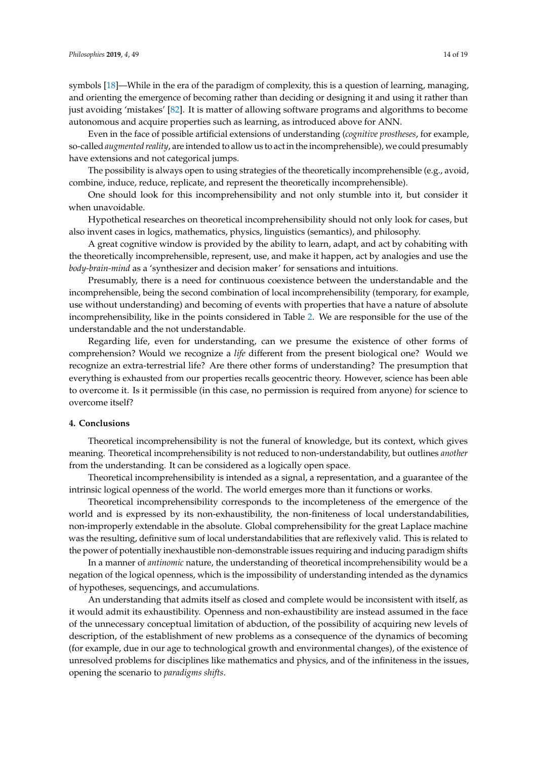symbols [\[18\]](#page-15-13)—While in the era of the paradigm of complexity, this is a question of learning, managing, and orienting the emergence of becoming rather than deciding or designing it and using it rather than just avoiding 'mistakes' [\[82\]](#page-17-25). It is matter of allowing software programs and algorithms to become autonomous and acquire properties such as learning, as introduced above for ANN.

Even in the face of possible artificial extensions of understanding (*cognitive prostheses*, for example, so-called *augmented reality*, are intended to allow us to act in the incomprehensible), we could presumably have extensions and not categorical jumps.

The possibility is always open to using strategies of the theoretically incomprehensible (e.g., avoid, combine, induce, reduce, replicate, and represent the theoretically incomprehensible).

One should look for this incomprehensibility and not only stumble into it, but consider it when unavoidable.

Hypothetical researches on theoretical incomprehensibility should not only look for cases, but also invent cases in logics, mathematics, physics, linguistics (semantics), and philosophy.

A great cognitive window is provided by the ability to learn, adapt, and act by cohabiting with the theoretically incomprehensible, represent, use, and make it happen, act by analogies and use the *body-brain-mind* as a 'synthesizer and decision maker' for sensations and intuitions.

Presumably, there is a need for continuous coexistence between the understandable and the incomprehensible, being the second combination of local incomprehensibility (temporary, for example, use without understanding) and becoming of events with properties that have a nature of absolute incomprehensibility, like in the points considered in Table [2.](#page-12-0) We are responsible for the use of the understandable and the not understandable.

Regarding life, even for understanding, can we presume the existence of other forms of comprehension? Would we recognize a *life* different from the present biological one? Would we recognize an extra-terrestrial life? Are there other forms of understanding? The presumption that everything is exhausted from our properties recalls geocentric theory. However, science has been able to overcome it. Is it permissible (in this case, no permission is required from anyone) for science to overcome itself?

### **4. Conclusions**

Theoretical incomprehensibility is not the funeral of knowledge, but its context, which gives meaning. Theoretical incomprehensibility is not reduced to non-understandability, but outlines *another* from the understanding. It can be considered as a logically open space.

Theoretical incomprehensibility is intended as a signal, a representation, and a guarantee of the intrinsic logical openness of the world. The world emerges more than it functions or works.

Theoretical incomprehensibility corresponds to the incompleteness of the emergence of the world and is expressed by its non-exhaustibility, the non-finiteness of local understandabilities, non-improperly extendable in the absolute. Global comprehensibility for the great Laplace machine was the resulting, definitive sum of local understandabilities that are reflexively valid. This is related to the power of potentially inexhaustible non-demonstrable issues requiring and inducing paradigm shifts

In a manner of *antinomic* nature, the understanding of theoretical incomprehensibility would be a negation of the logical openness, which is the impossibility of understanding intended as the dynamics of hypotheses, sequencings, and accumulations.

An understanding that admits itself as closed and complete would be inconsistent with itself, as it would admit its exhaustibility. Openness and non-exhaustibility are instead assumed in the face of the unnecessary conceptual limitation of abduction, of the possibility of acquiring new levels of description, of the establishment of new problems as a consequence of the dynamics of becoming (for example, due in our age to technological growth and environmental changes), of the existence of unresolved problems for disciplines like mathematics and physics, and of the infiniteness in the issues, opening the scenario to *paradigms shifts*.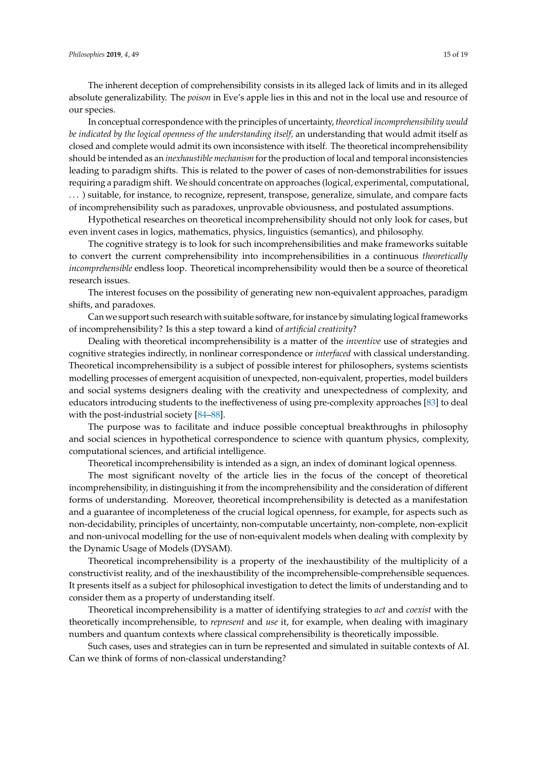The inherent deception of comprehensibility consists in its alleged lack of limits and in its alleged absolute generalizability. The *poison* in Eve's apple lies in this and not in the local use and resource of our species.

In conceptual correspondence with the principles of uncertainty, *theoretical incomprehensibility would be indicated by the logical openness of the understanding itself,* an understanding that would admit itself as closed and complete would admit its own inconsistence with itself. The theoretical incomprehensibility should be intended as an *inexhaustible mechanism* for the production of local and temporal inconsistencies leading to paradigm shifts. This is related to the power of cases of non-demonstrabilities for issues requiring a paradigm shift. We should concentrate on approaches (logical, experimental, computational, . . . ) suitable, for instance, to recognize, represent, transpose, generalize, simulate, and compare facts of incomprehensibility such as paradoxes, unprovable obviousness, and postulated assumptions.

Hypothetical researches on theoretical incomprehensibility should not only look for cases, but even invent cases in logics, mathematics, physics, linguistics (semantics), and philosophy.

The cognitive strategy is to look for such incomprehensibilities and make frameworks suitable to convert the current comprehensibility into incomprehensibilities in a continuous *theoretically incomprehensible* endless loop. Theoretical incomprehensibility would then be a source of theoretical research issues.

The interest focuses on the possibility of generating new non-equivalent approaches, paradigm shifts, and paradoxes.

Can we support such research with suitable software, for instance by simulating logical frameworks of incomprehensibility? Is this a step toward a kind of *artificial creativity*?

Dealing with theoretical incomprehensibility is a matter of the *inventive* use of strategies and cognitive strategies indirectly, in nonlinear correspondence or *interfaced* with classical understanding. Theoretical incomprehensibility is a subject of possible interest for philosophers, systems scientists modelling processes of emergent acquisition of unexpected, non-equivalent, properties, model builders and social systems designers dealing with the creativity and unexpectedness of complexity, and educators introducing students to the ineffectiveness of using pre-complexity approaches [\[83\]](#page-17-26) to deal with the post-industrial society [\[84](#page-17-27)[–88\]](#page-18-0).

The purpose was to facilitate and induce possible conceptual breakthroughs in philosophy and social sciences in hypothetical correspondence to science with quantum physics, complexity, computational sciences, and artificial intelligence.

Theoretical incomprehensibility is intended as a sign, an index of dominant logical openness.

The most significant novelty of the article lies in the focus of the concept of theoretical incomprehensibility, in distinguishing it from the incomprehensibility and the consideration of different forms of understanding. Moreover, theoretical incomprehensibility is detected as a manifestation and a guarantee of incompleteness of the crucial logical openness, for example, for aspects such as non-decidability, principles of uncertainty, non-computable uncertainty, non-complete, non-explicit and non-univocal modelling for the use of non-equivalent models when dealing with complexity by the Dynamic Usage of Models (DYSAM).

Theoretical incomprehensibility is a property of the inexhaustibility of the multiplicity of a constructivist reality, and of the inexhaustibility of the incomprehensible-comprehensible sequences. It presents itself as a subject for philosophical investigation to detect the limits of understanding and to consider them as a property of understanding itself.

Theoretical incomprehensibility is a matter of identifying strategies to *act* and *coexist* with the theoretically incomprehensible, to *represent* and *use* it, for example, when dealing with imaginary numbers and quantum contexts where classical comprehensibility is theoretically impossible.

Such cases, uses and strategies can in turn be represented and simulated in suitable contexts of AI. Can we think of forms of non-classical understanding?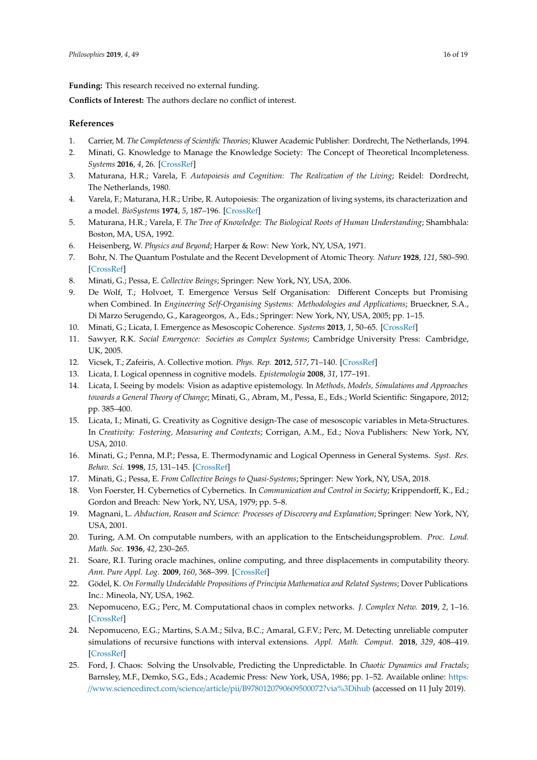**Funding:** This research received no external funding.

**Conflicts of Interest:** The authors declare no conflict of interest.

## **References**

- <span id="page-15-0"></span>1. Carrier, M. *The Completeness of Scientific Theories*; Kluwer Academic Publisher: Dordrecht, The Netherlands, 1994.
- <span id="page-15-1"></span>2. Minati, G. Knowledge to Manage the Knowledge Society: The Concept of Theoretical Incompleteness. *Systems* **2016**, *4*, 26. [\[CrossRef\]](http://dx.doi.org/10.3390/systems4030026)
- <span id="page-15-2"></span>3. Maturana, H.R.; Varela, F. *Autopoiesis and Cognition: The Realization of the Living*; Reidel: Dordrecht, The Netherlands, 1980.
- <span id="page-15-3"></span>4. Varela, F.; Maturana, H.R.; Uribe, R. Autopoiesis: The organization of living systems, its characterization and a model. *BioSystems* **1974**, *5*, 187–196. [\[CrossRef\]](http://dx.doi.org/10.1016/0303-2647(74)90031-8)
- <span id="page-15-4"></span>5. Maturana, H.R.; Varela, F. *The Tree of Knowledge: The Biological Roots of Human Understanding*; Shambhala: Boston, MA, USA, 1992.
- <span id="page-15-5"></span>6. Heisenberg, W. *Physics and Beyond*; Harper & Row: New York, NY, USA, 1971.
- <span id="page-15-6"></span>7. Bohr, N. The Quantum Postulate and the Recent Development of Atomic Theory. *Nature* **1928**, *121*, 580–590. [\[CrossRef\]](http://dx.doi.org/10.1038/121580a0)
- <span id="page-15-7"></span>8. Minati, G.; Pessa, E. *Collective Beings*; Springer: New York, NY, USA, 2006.
- <span id="page-15-8"></span>9. De Wolf, T.; Holvoet, T. Emergence Versus Self Organisation: Different Concepts but Promising when Combined. In *Engineering Self-Organising Systems: Methodologies and Applications*; Brueckner, S.A., Di Marzo Serugendo, G., Karageorgos, A., Eds.; Springer: New York, NY, USA, 2005; pp. 1–15.
- <span id="page-15-20"></span>10. Minati, G.; Licata, I. Emergence as Mesoscopic Coherence. *Systems* **2013**, *1*, 50–65. [\[CrossRef\]](http://dx.doi.org/10.3390/systems1040050)
- 11. Sawyer, R.K. *Social Emergence: Societies as Complex Systems*; Cambridge University Press: Cambridge, UK, 2005.
- <span id="page-15-9"></span>12. Vicsek, T.; Zafeiris, A. Collective motion. *Phys. Rep.* **2012**, *517*, 71–140. [\[CrossRef\]](http://dx.doi.org/10.1016/j.physrep.2012.03.004)
- <span id="page-15-10"></span>13. Licata, I. Logical openness in cognitive models. *Epistemologia* **2008**, *31*, 177–191.
- 14. Licata, I. Seeing by models: Vision as adaptive epistemology. In *Methods, Models, Simulations and Approaches towards a General Theory of Change*; Minati, G., Abram, M., Pessa, E., Eds.; World Scientific: Singapore, 2012; pp. 385–400.
- 15. Licata, I.; Minati, G. Creativity as Cognitive design-The case of mesoscopic variables in Meta-Structures. In *Creativity: Fostering, Measuring and Contexts*; Corrigan, A.M., Ed.; Nova Publishers: New York, NY, USA, 2010.
- <span id="page-15-11"></span>16. Minati, G.; Penna, M.P.; Pessa, E. Thermodynamic and Logical Openness in General Systems. *Syst. Res. Behav. Sci.* **1998**, *15*, 131–145. [\[CrossRef\]](http://dx.doi.org/10.1002/(SICI)1099-1743(199803/04)15:2<131::AID-SRES127>3.0.CO;2-O)
- <span id="page-15-12"></span>17. Minati, G.; Pessa, E. *From Collective Beings to Quasi-Systems*; Springer: New York, NY, USA, 2018.
- <span id="page-15-13"></span>18. Von Foerster, H. Cybernetics of Cybernetics. In *Communication and Control in Society*; Krippendorff, K., Ed.; Gordon and Breach: New York, NY, USA, 1979; pp. 5–8.
- <span id="page-15-14"></span>19. Magnani, L. *Abduction, Reason and Science: Processes of Discovery and Explanation*; Springer: New York, NY, USA, 2001.
- <span id="page-15-15"></span>20. Turing, A.M. On computable numbers, with an application to the Entscheidungsproblem. *Proc. Lond. Math. Soc.* **1936**, *42*, 230–265.
- <span id="page-15-16"></span>21. Soare, R.I. Turing oracle machines, online computing, and three displacements in computability theory. *Ann. Pure Appl. Log.* **2009**, *160*, 368–399. [\[CrossRef\]](http://dx.doi.org/10.1016/j.apal.2009.01.008)
- <span id="page-15-17"></span>22. Gödel, K. *On Formally Undecidable Propositions of Principia Mathematica and Related Systems*; Dover Publications Inc.: Mineola, NY, USA, 1962.
- <span id="page-15-18"></span>23. Nepomuceno, E.G.; Perc, M. Computational chaos in complex networks. *J. Complex Netw.* **2019**, *2*, 1–16. [\[CrossRef\]](http://dx.doi.org/10.1093/comnet/cnz015)
- 24. Nepomuceno, E.G.; Martins, S.A.M.; Silva, B.C.; Amaral, G.F.V.; Perc, M. Detecting unreliable computer simulations of recursive functions with interval extensions. *Appl. Math. Comput.* **2018**, *329*, 408–419. [\[CrossRef\]](http://dx.doi.org/10.1016/j.amc.2018.02.020)
- <span id="page-15-19"></span>25. Ford, J. Chaos: Solving the Unsolvable, Predicting the Unpredictable. In *Chaotic Dynamics and Fractals*; Barnsley, M.F., Demko, S.G., Eds.; Academic Press: New York, USA, 1986; pp. 1–52. Available online: [https:](https://www.sciencedirect.com/science/article/pii/B9780120790609500072?via%3Dihub) //www.sciencedirect.com/science/article/pii/[B9780120790609500072?via%3Dihub](https://www.sciencedirect.com/science/article/pii/B9780120790609500072?via%3Dihub) (accessed on 11 July 2019).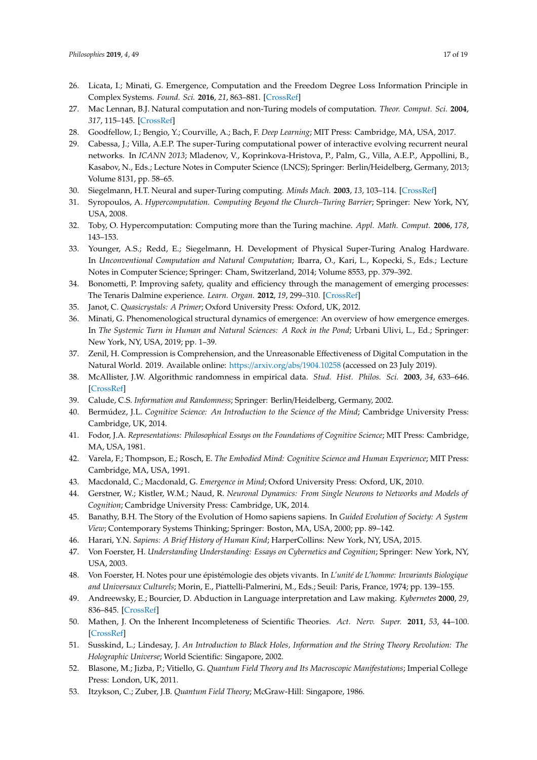- <span id="page-16-0"></span>26. Licata, I.; Minati, G. Emergence, Computation and the Freedom Degree Loss Information Principle in Complex Systems. *Found. Sci.* **2016**, *21*, 863–881. [\[CrossRef\]](http://dx.doi.org/10.1007/s10699-016-9503-x)
- <span id="page-16-1"></span>27. Mac Lennan, B.J. Natural computation and non-Turing models of computation. *Theor. Comput. Sci.* **2004**, *317*, 115–145. [\[CrossRef\]](http://dx.doi.org/10.1016/j.tcs.2003.12.008)
- <span id="page-16-2"></span>28. Goodfellow, I.; Bengio, Y.; Courville, A.; Bach, F. *Deep Learning*; MIT Press: Cambridge, MA, USA, 2017.
- <span id="page-16-3"></span>29. Cabessa, J.; Villa, A.E.P. The super-Turing computational power of interactive evolving recurrent neural networks. In *ICANN 2013*; Mladenov, V., Koprinkova-Hristova, P., Palm, G., Villa, A.E.P., Appollini, B., Kasabov, N., Eds.; Lecture Notes in Computer Science (LNCS); Springer: Berlin/Heidelberg, Germany, 2013; Volume 8131, pp. 58–65.
- <span id="page-16-4"></span>30. Siegelmann, H.T. Neural and super-Turing computing. *Minds Mach.* **2003**, *13*, 103–114. [\[CrossRef\]](http://dx.doi.org/10.1023/A:1021376718708)
- <span id="page-16-5"></span>31. Syropoulos, A. *Hypercomputation. Computing Beyond the Church–Turing Barrier*; Springer: New York, NY, USA, 2008.
- <span id="page-16-6"></span>32. Toby, O. Hypercomputation: Computing more than the Turing machine. *Appl. Math. Comput.* **2006**, *178*, 143–153.
- <span id="page-16-7"></span>33. Younger, A.S.; Redd, E.; Siegelmann, H. Development of Physical Super-Turing Analog Hardware. In *Unconventional Computation and Natural Computation*; Ibarra, O., Kari, L., Kopecki, S., Eds.; Lecture Notes in Computer Science; Springer: Cham, Switzerland, 2014; Volume 8553, pp. 379–392.
- <span id="page-16-8"></span>34. Bonometti, P. Improving safety, quality and efficiency through the management of emerging processes: The Tenaris Dalmine experience. *Learn. Organ.* **2012**, *19*, 299–310. [\[CrossRef\]](http://dx.doi.org/10.1108/09696471211226662)
- <span id="page-16-9"></span>35. Janot, C. *Quasicrystals: A Primer*; Oxford University Press: Oxford, UK, 2012.
- <span id="page-16-10"></span>36. Minati, G. Phenomenological structural dynamics of emergence: An overview of how emergence emerges. In *The Systemic Turn in Human and Natural Sciences: A Rock in the Pond*; Urbani Ulivi, L., Ed.; Springer: New York, NY, USA, 2019; pp. 1–39.
- <span id="page-16-11"></span>37. Zenil, H. Compression is Comprehension, and the Unreasonable Effectiveness of Digital Computation in the Natural World. 2019. Available online: https://arxiv.org/abs/[1904.10258](https://arxiv.org/abs/1904.10258) (accessed on 23 July 2019).
- <span id="page-16-12"></span>38. McAllister, J.W. Algorithmic randomness in empirical data. *Stud. Hist. Philos. Sci.* **2003**, *34*, 633–646. [\[CrossRef\]](http://dx.doi.org/10.1016/S0039-3681(03)00047-5)
- <span id="page-16-13"></span>39. Calude, C.S. *Information and Randomness*; Springer: Berlin/Heidelberg, Germany, 2002.
- <span id="page-16-14"></span>40. Bermúdez, J.L. *Cognitive Science: An Introduction to the Science of the Mind*; Cambridge University Press: Cambridge, UK, 2014.
- 41. Fodor, J.A. *Representations: Philosophical Essays on the Foundations of Cognitive Science*; MIT Press: Cambridge, MA, USA, 1981.
- <span id="page-16-15"></span>42. Varela, F.; Thompson, E.; Rosch, E. *The Embodied Mind: Cognitive Science and Human Experience*; MIT Press: Cambridge, MA, USA, 1991.
- <span id="page-16-16"></span>43. Macdonald, C.; Macdonald, G. *Emergence in Mind*; Oxford University Press: Oxford, UK, 2010.
- <span id="page-16-17"></span>44. Gerstner, W.; Kistler, W.M.; Naud, R. *Neuronal Dynamics: From Single Neurons to Networks and Models of Cognition*; Cambridge University Press: Cambridge, UK, 2014.
- <span id="page-16-18"></span>45. Banathy, B.H. The Story of the Evolution of Homo sapiens sapiens. In *Guided Evolution of Society: A System View*; Contemporary Systems Thinking; Springer: Boston, MA, USA, 2000; pp. 89–142.
- <span id="page-16-19"></span>46. Harari, Y.N. *Sapiens: A Brief History of Human Kind*; HarperCollins: New York, NY, USA, 2015.
- <span id="page-16-20"></span>47. Von Foerster, H. *Understanding Understanding: Essays on Cybernetics and Cognition*; Springer: New York, NY, USA, 2003.
- <span id="page-16-21"></span>48. Von Foerster, H. Notes pour une épistémologie des objets vivants. In *L'unité de L'homme: Invariants Biologique and Universaux Culturels*; Morin, E., Piattelli-Palmerini, M., Eds.; Seuil: Paris, France, 1974; pp. 139–155.
- <span id="page-16-22"></span>49. Andreewsky, E.; Bourcier, D. Abduction in Language interpretation and Law making. *Kybernetes* **2000**, *29*, 836–845. [\[CrossRef\]](http://dx.doi.org/10.1108/03684920010341991)
- <span id="page-16-23"></span>50. Mathen, J. On the Inherent Incompleteness of Scientific Theories. *Act. Nerv. Super.* **2011**, *53*, 44–100. [\[CrossRef\]](http://dx.doi.org/10.1007/BF03379933)
- <span id="page-16-24"></span>51. Susskind, L.; Lindesay, J. *An Introduction to Black Holes, Information and the String Theory Revolution: The Holographic Universe*; World Scientific: Singapore, 2002.
- <span id="page-16-25"></span>52. Blasone, M.; Jizba, P.; Vitiello, G. *Quantum Field Theory and Its Macroscopic Manifestations*; Imperial College Press: London, UK, 2011.
- <span id="page-16-26"></span>53. Itzykson, C.; Zuber, J.B. *Quantum Field Theory*; McGraw-Hill: Singapore, 1986.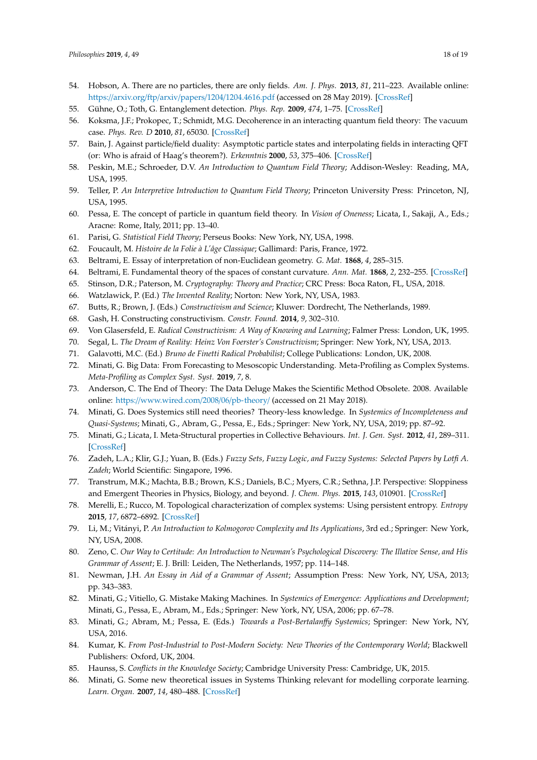- <span id="page-17-0"></span>54. Hobson, A. There are no particles, there are only fields. *Am. J. Phys.* **2013**, *81*, 211–223. Available online: https://arxiv.org/ftp/arxiv/papers/1204/[1204.4616.pdf](https://arxiv.org/ftp/arxiv/papers/1204/1204.4616.pdf) (accessed on 28 May 2019). [\[CrossRef\]](http://dx.doi.org/10.1119/1.4789885)
- <span id="page-17-1"></span>55. Gühne, O.; Toth, G. Entanglement detection. *Phys. Rep.* **2009**, *474*, 1–75. [\[CrossRef\]](http://dx.doi.org/10.1016/j.physrep.2009.02.004)
- <span id="page-17-2"></span>56. Koksma, J.F.; Prokopec, T.; Schmidt, M.G. Decoherence in an interacting quantum field theory: The vacuum case. *Phys. Rev. D* **2010**, *81*, 65030. [\[CrossRef\]](http://dx.doi.org/10.1103/PhysRevD.81.065030)
- <span id="page-17-3"></span>57. Bain, J. Against particle/field duality: Asymptotic particle states and interpolating fields in interacting QFT (or: Who is afraid of Haag's theorem?). *Erkenntnis* **2000**, *53*, 375–406. [\[CrossRef\]](http://dx.doi.org/10.1023/A:1026482100470)
- 58. Peskin, M.E.; Schroeder, D.V. *An Introduction to Quantum Field Theory*; Addison-Wesley: Reading, MA, USA, 1995.
- <span id="page-17-4"></span>59. Teller, P. *An Interpretive Introduction to Quantum Field Theory*; Princeton University Press: Princeton, NJ, USA, 1995.
- <span id="page-17-5"></span>60. Pessa, E. The concept of particle in quantum field theory. In *Vision of Oneness*; Licata, I., Sakaji, A., Eds.; Aracne: Rome, Italy, 2011; pp. 13–40.
- <span id="page-17-6"></span>61. Parisi, G. *Statistical Field Theory*; Perseus Books: New York, NY, USA, 1998.
- <span id="page-17-7"></span>62. Foucault, M. *Histoire de la Folie à L'âge Classique*; Gallimard: Paris, France, 1972.
- <span id="page-17-8"></span>63. Beltrami, E. Essay of interpretation of non-Euclidean geometry. *G. Mat.* **1868**, *4*, 285–315.
- <span id="page-17-9"></span>64. Beltrami, E. Fundamental theory of the spaces of constant curvature. *Ann. Mat.* **1868**, *2*, 232–255. [\[CrossRef\]](http://dx.doi.org/10.1007/BF02419615)
- <span id="page-17-10"></span>65. Stinson, D.R.; Paterson, M. *Cryptography: Theory and Practice*; CRC Press: Boca Raton, FL, USA, 2018.
- <span id="page-17-12"></span><span id="page-17-11"></span>66. Watzlawick, P. (Ed.) *The Invented Reality*; Norton: New York, NY, USA, 1983.
- 67. Butts, R.; Brown, J. (Eds.) *Constructivism and Science*; Kluwer: Dordrecht, The Netherlands, 1989.
- 68. Gash, H. Constructing constructivism. *Constr. Found.* **2014**, *9*, 302–310.
- 69. Von Glasersfeld, E. *Radical Constructivism: A Way of Knowing and Learning*; Falmer Press: London, UK, 1995.
- <span id="page-17-13"></span>70. Segal, L. *The Dream of Reality: Heinz Von Foerster's Constructivism*; Springer: New York, NY, USA, 2013.
- <span id="page-17-14"></span>71. Galavotti, M.C. (Ed.) *Bruno de Finetti Radical Probabilist*; College Publications: London, UK, 2008.
- <span id="page-17-15"></span>72. Minati, G. Big Data: From Forecasting to Mesoscopic Understanding. Meta-Profiling as Complex Systems. *Meta-Profiling as Complex Syst. Syst.* **2019**, *7*, 8.
- <span id="page-17-16"></span>73. Anderson, C. The End of Theory: The Data Deluge Makes the Scientific Method Obsolete. 2008. Available online: https://[www.wired.com](https://www.wired.com/2008/06/pb-theory/)/2008/06/pb-theory/ (accessed on 21 May 2018).
- <span id="page-17-17"></span>74. Minati, G. Does Systemics still need theories? Theory-less knowledge. In *Systemics of Incompleteness and Quasi-Systems*; Minati, G., Abram, G., Pessa, E., Eds.; Springer: New York, NY, USA, 2019; pp. 87–92.
- <span id="page-17-18"></span>75. Minati, G.; Licata, I. Meta-Structural properties in Collective Behaviours. *Int. J. Gen. Syst.* **2012**, *41*, 289–311. [\[CrossRef\]](http://dx.doi.org/10.1080/03081079.2011.651136)
- <span id="page-17-19"></span>76. Zadeh, L.A.; Klir, G.J.; Yuan, B. (Eds.) *Fuzzy Sets, Fuzzy Logic, and Fuzzy Systems: Selected Papers by Lotfi A. Zadeh*; World Scientific: Singapore, 1996.
- <span id="page-17-20"></span>77. Transtrum, M.K.; Machta, B.B.; Brown, K.S.; Daniels, B.C.; Myers, C.R.; Sethna, J.P. Perspective: Sloppiness and Emergent Theories in Physics, Biology, and beyond. *J. Chem. Phys.* **2015**, *143*, 010901. [\[CrossRef\]](http://dx.doi.org/10.1063/1.4923066)
- <span id="page-17-21"></span>78. Merelli, E.; Rucco, M. Topological characterization of complex systems: Using persistent entropy. *Entropy* **2015**, *17*, 6872–6892. [\[CrossRef\]](http://dx.doi.org/10.3390/e17106872)
- <span id="page-17-22"></span>79. Li, M.; Vitányi, P. *An Introduction to Kolmogorov Complexity and Its Applications*, 3rd ed.; Springer: New York, NY, USA, 2008.
- <span id="page-17-23"></span>80. Zeno, C. *Our Way to Certitude: An Introduction to Newman's Psychological Discovery: The Illative Sense, and His Grammar of Assent*; E. J. Brill: Leiden, The Netherlands, 1957; pp. 114–148.
- <span id="page-17-24"></span>81. Newman, J.H. *An Essay in Aid of a Grammar of Assent*; Assumption Press: New York, NY, USA, 2013; pp. 343–383.
- <span id="page-17-25"></span>82. Minati, G.; Vitiello, G. Mistake Making Machines. In *Systemics of Emergence: Applications and Development*; Minati, G., Pessa, E., Abram, M., Eds.; Springer: New York, NY, USA, 2006; pp. 67–78.
- <span id="page-17-26"></span>83. Minati, G.; Abram, M.; Pessa, E. (Eds.) *Towards a Post-Bertalan*ff*y Systemics*; Springer: New York, NY, USA, 2016.
- <span id="page-17-27"></span>84. Kumar, K. *From Post-Industrial to Post-Modern Society: New Theories of the Contemporary World*; Blackwell Publishers: Oxford, UK, 2004.
- 85. Haunss, S. *Conflicts in the Knowledge Society*; Cambridge University Press: Cambridge, UK, 2015.
- 86. Minati, G. Some new theoretical issues in Systems Thinking relevant for modelling corporate learning. *Learn. Organ.* **2007**, *14*, 480–488. [\[CrossRef\]](http://dx.doi.org/10.1108/09696470710825097)